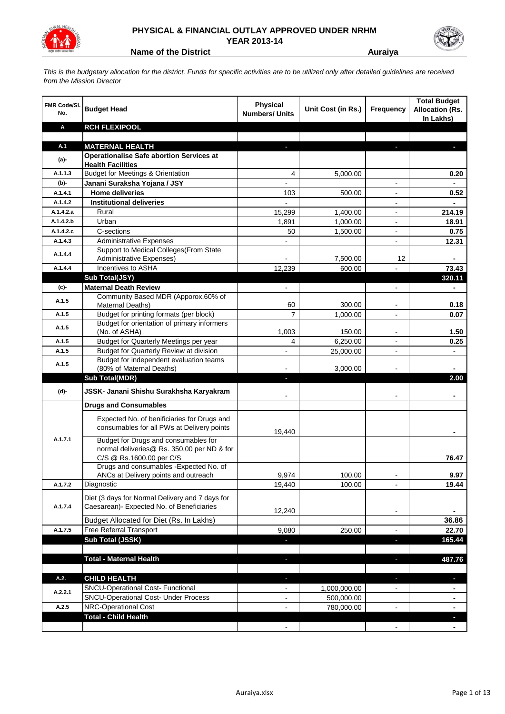

## **PHYSICAL & FINANCIAL OUTLAY APPROVED UNDER NRHM YEAR 2013-14**

**Name of the District <b>Auraiya Auraiya** 

*This is the budgetary allocation for the district. Funds for specific activities are to be utilized only after detailed guidelines are received from the Mission Director*

| <b>FMR Code/SI.</b><br>No. | <b>Budget Head</b>                                                                                             | <b>Physical</b><br><b>Numbers/ Units</b> | Unit Cost (in Rs.) | <b>Frequency</b>         | <b>Total Budget</b><br><b>Allocation (Rs.</b><br>In Lakhs) |
|----------------------------|----------------------------------------------------------------------------------------------------------------|------------------------------------------|--------------------|--------------------------|------------------------------------------------------------|
| A                          | <b>RCH FLEXIPOOL</b>                                                                                           |                                          |                    |                          |                                                            |
|                            |                                                                                                                |                                          |                    |                          |                                                            |
| A.1                        | <b>MATERNAL HEALTH</b>                                                                                         |                                          |                    |                          |                                                            |
| (a)-                       | <b>Operationalise Safe abortion Services at</b>                                                                |                                          |                    |                          |                                                            |
| A.1.1.3                    | <b>Health Facilities</b><br><b>Budget for Meetings &amp; Orientation</b>                                       | 4                                        | 5,000.00           |                          | 0.20                                                       |
| $(b)$ -                    | Janani Suraksha Yojana / JSY                                                                                   |                                          |                    | $\blacksquare$           |                                                            |
| A.1.4.1                    | <b>Home deliveries</b>                                                                                         | 103                                      | 500.00             | ۰                        | 0.52                                                       |
| A.1.4.2                    | <b>Institutional deliveries</b>                                                                                |                                          |                    |                          |                                                            |
| A.1.4.2.a                  | Rural                                                                                                          | 15,299                                   | 1,400.00           |                          | 214.19                                                     |
| A.1.4.2.b                  | Urban                                                                                                          | 1,891                                    | 1,000.00           | $\overline{\phantom{0}}$ | 18.91                                                      |
| A.1.4.2.c                  | C-sections                                                                                                     | 50                                       | 1,500.00           | $\overline{\phantom{a}}$ | 0.75                                                       |
| A.1.4.3                    | <b>Administrative Expenses</b>                                                                                 |                                          |                    | $\overline{\phantom{0}}$ | 12.31                                                      |
|                            | Support to Medical Colleges (From State                                                                        |                                          |                    |                          |                                                            |
| A.1.4.4                    | Administrative Expenses)                                                                                       |                                          | 7,500.00           | 12                       |                                                            |
| A.1.4.4                    | Incentives to ASHA                                                                                             | 12,239                                   | 600.00             |                          | 73.43                                                      |
|                            | Sub Total(JSY)                                                                                                 |                                          |                    |                          | 320.11                                                     |
| (c)-                       | <b>Maternal Death Review</b>                                                                                   | $\overline{\phantom{0}}$                 |                    | $\overline{\phantom{0}}$ | $\blacksquare$                                             |
| A.1.5                      | Community Based MDR (Apporox.60% of                                                                            |                                          |                    |                          |                                                            |
|                            | Maternal Deaths)                                                                                               | 60                                       | 300.00             |                          | 0.18                                                       |
| A.1.5                      | Budget for printing formats (per block)<br>Budget for orientation of primary informers                         | $\overline{7}$                           | 1,000.00           |                          | 0.07                                                       |
| A.1.5                      | (No. of ASHA)                                                                                                  | 1,003                                    | 150.00             |                          | 1.50                                                       |
| A.1.5                      | Budget for Quarterly Meetings per year                                                                         | 4                                        | 6,250.00           | ۰                        | 0.25                                                       |
| A.1.5                      | <b>Budget for Quarterly Review at division</b>                                                                 |                                          | 25,000.00          |                          |                                                            |
|                            | Budget for independent evaluation teams                                                                        |                                          |                    |                          |                                                            |
| A.1.5                      | (80% of Maternal Deaths)                                                                                       |                                          | 3,000.00           |                          |                                                            |
|                            | <b>Sub Total(MDR)</b>                                                                                          | п                                        |                    |                          | 2.00                                                       |
| $(d)$ -                    | JSSK- Janani Shishu Surakhsha Karyakram                                                                        |                                          |                    |                          |                                                            |
|                            | <b>Drugs and Consumables</b>                                                                                   |                                          |                    |                          |                                                            |
|                            | Expected No. of benificiaries for Drugs and<br>consumables for all PWs at Delivery points                      | 19,440                                   |                    |                          |                                                            |
| A.1.7.1                    | Budget for Drugs and consumables for<br>normal deliveries@ Rs. 350.00 per ND & for<br>C/S @ Rs.1600.00 per C/S |                                          |                    |                          | 76.47                                                      |
|                            | Drugs and consumables - Expected No. of                                                                        |                                          |                    |                          |                                                            |
|                            | ANCs at Delivery points and outreach                                                                           | 9,974                                    | 100.00             | $\blacksquare$           | 9.97                                                       |
| A.1.7.2                    | Diagnostic                                                                                                     | 19,440                                   | 100.00             |                          | 19.44                                                      |
| A.1.7.4                    | Diet (3 days for Normal Delivery and 7 days for<br>Caesarean)- Expected No. of Beneficiaries                   | 12,240                                   |                    | $\blacksquare$           |                                                            |
|                            | Budget Allocated for Diet (Rs. In Lakhs)                                                                       |                                          |                    |                          | 36.86                                                      |
| A.1.7.5                    | Free Referral Transport                                                                                        | 9,080                                    | 250.00             |                          | 22.70                                                      |
|                            | Sub Total (JSSK)                                                                                               |                                          |                    |                          | 165.44                                                     |
|                            | <b>Total - Maternal Health</b>                                                                                 | ٠                                        |                    | H.                       | 487.76                                                     |
| A.2.                       | <b>CHILD HEALTH</b>                                                                                            | ۵                                        |                    | ä,                       | H,                                                         |
| A.2.2.1                    | SNCU-Operational Cost- Functional                                                                              | $\overline{\phantom{a}}$                 | 1,000,000.00       | $\overline{\phantom{a}}$ |                                                            |
|                            | SNCU-Operational Cost- Under Process                                                                           | $\blacksquare$                           | 500,000.00         |                          | $\blacksquare$                                             |
| A.2.5                      | NRC-Operational Cost                                                                                           | $\overline{\phantom{a}}$                 | 780,000.00         | $\overline{\phantom{a}}$ | $\blacksquare$                                             |
|                            | <b>Total - Child Health</b>                                                                                    |                                          |                    |                          | ٠                                                          |
|                            |                                                                                                                | $\blacksquare$                           |                    | $\overline{\phantom{a}}$ | $\blacksquare$                                             |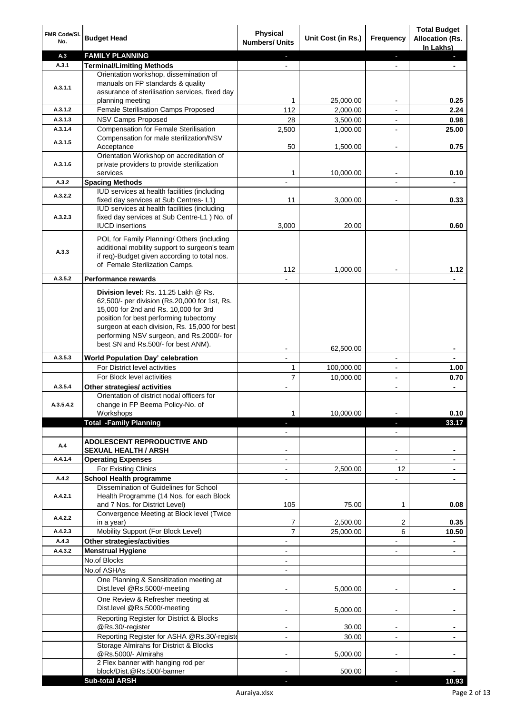| FMR Code/SI.<br>No. | <b>Budget Head</b>                                                                      | <b>Physical</b><br><b>Numbers/ Units</b> | Unit Cost (in Rs.) | Frequency                | <b>Total Budget</b><br><b>Allocation (Rs.</b><br>In Lakhs) |
|---------------------|-----------------------------------------------------------------------------------------|------------------------------------------|--------------------|--------------------------|------------------------------------------------------------|
| A.3                 | <b>FAMILY PLANNING</b>                                                                  |                                          |                    |                          |                                                            |
| A.3.1               | <b>Terminal/Limiting Methods</b>                                                        |                                          |                    |                          |                                                            |
|                     | Orientation workshop, dissemination of                                                  |                                          |                    |                          |                                                            |
| A.3.1.1             | manuals on FP standards & quality                                                       |                                          |                    |                          |                                                            |
|                     | assurance of sterilisation services, fixed day                                          |                                          |                    |                          |                                                            |
|                     | planning meeting<br>Female Sterilisation Camps Proposed                                 | 1<br>112                                 | 25,000.00          |                          | 0.25                                                       |
| A.3.1.2<br>A.3.1.3  |                                                                                         |                                          | 2,000.00           |                          | 2.24                                                       |
| A.3.1.4             | <b>NSV Camps Proposed</b><br><b>Compensation for Female Sterilisation</b>               | 28                                       | 3,500.00           | $\blacksquare$           | 0.98                                                       |
|                     | Compensation for male sterilization/NSV                                                 | 2,500                                    | 1,000.00           | $\overline{\phantom{a}}$ | 25.00                                                      |
| A.3.1.5             | Acceptance                                                                              | 50                                       | 1,500.00           | $\overline{\phantom{a}}$ | 0.75                                                       |
|                     | Orientation Workshop on accreditation of                                                |                                          |                    |                          |                                                            |
| A.3.1.6             | private providers to provide sterilization                                              |                                          |                    |                          |                                                            |
|                     | services                                                                                | 1                                        | 10,000.00          |                          | 0.10                                                       |
| A.3.2               | <b>Spacing Methods</b>                                                                  |                                          |                    |                          |                                                            |
| A.3.2.2             | IUD services at health facilities (including                                            |                                          |                    |                          |                                                            |
|                     | fixed day services at Sub Centres-L1)                                                   | 11                                       | 3,000.00           |                          | 0.33                                                       |
|                     | IUD services at health facilities (including                                            |                                          |                    |                          |                                                            |
| A.3.2.3             | fixed day services at Sub Centre-L1 ) No. of                                            |                                          |                    |                          |                                                            |
|                     | <b>IUCD</b> insertions                                                                  | 3,000                                    | 20.00              |                          | 0.60                                                       |
|                     | POL for Family Planning/ Others (including                                              |                                          |                    |                          |                                                            |
|                     | additional mobility support to surgeon's team                                           |                                          |                    |                          |                                                            |
| A.3.3               | if req)-Budget given according to total nos.                                            |                                          |                    |                          |                                                            |
|                     | of Female Sterilization Camps.                                                          | 112                                      | 1,000.00           |                          | 1.12                                                       |
| A.3.5.2             | <b>Performance rewards</b>                                                              |                                          |                    |                          |                                                            |
|                     |                                                                                         |                                          |                    |                          |                                                            |
|                     | Division level: Rs. 11.25 Lakh @ Rs.                                                    |                                          |                    |                          |                                                            |
|                     | 62,500/- per division (Rs.20,000 for 1st, Rs.                                           |                                          |                    |                          |                                                            |
|                     | 15,000 for 2nd and Rs. 10,000 for 3rd                                                   |                                          |                    |                          |                                                            |
|                     | position for best performing tubectomy<br>surgeon at each division, Rs. 15,000 for best |                                          |                    |                          |                                                            |
|                     | performing NSV surgeon, and Rs.2000/- for                                               |                                          |                    |                          |                                                            |
|                     | best SN and Rs.500/- for best ANM).                                                     |                                          |                    |                          |                                                            |
|                     |                                                                                         |                                          | 62,500.00          |                          |                                                            |
| A.3.5.3             | <b>World Population Day' celebration</b>                                                | $\overline{a}$                           |                    | $\blacksquare$           | -                                                          |
|                     | For District level activities                                                           | 1                                        | 100,000.00         | $\blacksquare$           | 1.00                                                       |
|                     | For Block level activities                                                              | $\overline{7}$                           | 10,000.00          |                          | 0.70                                                       |
| A.3.5.4             | Other strategies/ activities                                                            |                                          |                    |                          | $\overline{\phantom{0}}$                                   |
|                     | Orientation of district nodal officers for<br>change in FP Beema Policy-No. of          |                                          |                    |                          |                                                            |
| A.3.5.4.2           | Workshops                                                                               | 1                                        | 10,000.00          |                          | 0.10                                                       |
|                     | <b>Total -Family Planning</b>                                                           |                                          |                    | ٠                        | 33.17                                                      |
|                     |                                                                                         |                                          |                    |                          |                                                            |
|                     | ADOLESCENT REPRODUCTIVE AND                                                             |                                          |                    |                          |                                                            |
| A.4                 | <b>SEXUAL HEALTH / ARSH</b>                                                             |                                          |                    | ÷                        | -                                                          |
| A.4.1.4             | <b>Operating Expenses</b>                                                               | $\blacksquare$                           |                    | $\blacksquare$           | $\blacksquare$                                             |
|                     | For Existing Clinics                                                                    | $\overline{\phantom{a}}$                 | 2,500.00           | 12                       |                                                            |
| A.4.2               | <b>School Health programme</b>                                                          | $\blacksquare$                           |                    | $\frac{1}{2}$            | $\overline{\phantom{0}}$                                   |
|                     | Dissemination of Guidelines for School                                                  |                                          |                    |                          |                                                            |
| A.4.2.1             | Health Programme (14 Nos. for each Block                                                |                                          |                    |                          |                                                            |
|                     | and 7 Nos. for District Level)                                                          | 105                                      | 75.00              | 1                        | 0.08                                                       |
| A.4.2.2             | Convergence Meeting at Block level (Twice                                               |                                          |                    |                          |                                                            |
|                     | in a year)                                                                              | 7                                        | 2,500.00           | 2                        | 0.35                                                       |
| A.4.2.3             | Mobility Support (For Block Level)                                                      | $\overline{7}$                           | 25,000.00          | 6                        | 10.50                                                      |
| A.4.3               | Other strategies/activities                                                             | $\blacksquare$                           |                    | $\overline{\phantom{a}}$ | $\blacksquare$                                             |
| A.4.3.2             | <b>Menstrual Hygiene</b>                                                                | $\blacksquare$                           |                    | $\overline{\phantom{a}}$ | $\blacksquare$                                             |
|                     | No.of Blocks                                                                            | $\blacksquare$                           |                    |                          |                                                            |
|                     | No.of ASHAs                                                                             | $\blacksquare$                           |                    |                          |                                                            |
|                     | One Planning & Sensitization meeting at                                                 |                                          |                    |                          |                                                            |
|                     | Dist.level @Rs.5000/-meeting                                                            |                                          | 5,000.00           |                          |                                                            |
|                     | One Review & Refresher meeting at                                                       |                                          |                    |                          |                                                            |
|                     | Dist.level @Rs.5000/-meeting                                                            |                                          | 5,000.00           | $\blacksquare$           |                                                            |
|                     | Reporting Register for District & Blocks                                                |                                          |                    |                          |                                                            |
|                     | @Rs.30/-register                                                                        |                                          | 30.00              | $\blacksquare$           |                                                            |
|                     | Reporting Register for ASHA @Rs.30/-registe                                             |                                          | 30.00              | ÷                        |                                                            |
|                     | Storage Almirahs for District & Blocks                                                  |                                          |                    |                          |                                                            |
|                     | @Rs.5000/- Almirahs<br>2 Flex banner with hanging rod per                               |                                          | 5,000.00           | $\blacksquare$           |                                                            |
|                     | block/Dist.@Rs.500/-banner                                                              |                                          | 500.00             |                          |                                                            |
|                     | <b>Sub-total ARSH</b>                                                                   |                                          |                    |                          | 10.93                                                      |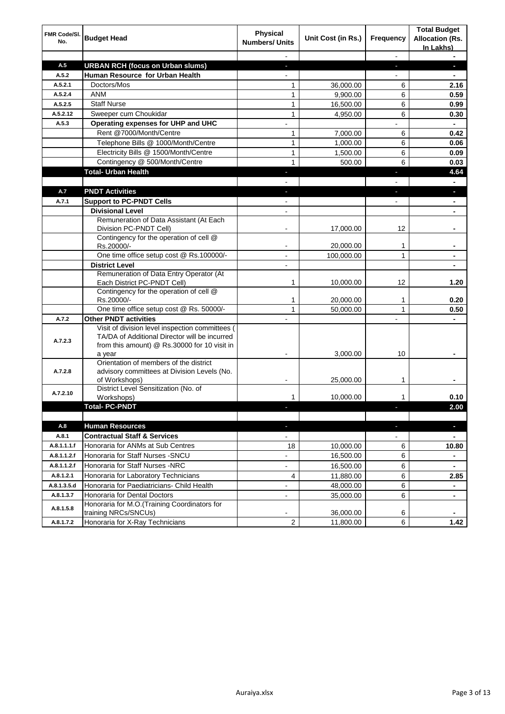| FMR Code/SI.<br>No. | <b>Budget Head</b>                                                                               | <b>Physical</b><br><b>Numbers/ Units</b> | Unit Cost (in Rs.) | Frequency                | <b>Total Budget</b><br><b>Allocation (Rs.</b><br>In Lakhs) |
|---------------------|--------------------------------------------------------------------------------------------------|------------------------------------------|--------------------|--------------------------|------------------------------------------------------------|
|                     |                                                                                                  |                                          |                    | $\overline{\phantom{a}}$ | $\blacksquare$                                             |
| A.5                 | <b>URBAN RCH (focus on Urban slums)</b>                                                          | ٠                                        |                    | ٠                        | ı                                                          |
| A.5.2               | <b>Human Resource for Urban Health</b>                                                           |                                          |                    |                          |                                                            |
| A.5.2.1             | Doctors/Mos                                                                                      | 1                                        | 36,000.00          | 6                        | 2.16                                                       |
| A.5.2.4             | <b>ANM</b>                                                                                       | 1                                        | 9,900.00           | 6                        | 0.59                                                       |
| A.5.2.5             | <b>Staff Nurse</b>                                                                               | $\mathbf{1}$                             | 16,500.00          | 6                        | 0.99                                                       |
| A.5.2.12            | Sweeper cum Choukidar                                                                            | $\mathbf{1}$                             | 4,950.00           | 6                        | 0.30                                                       |
| A.5.3               | Operating expenses for UHP and UHC                                                               |                                          |                    |                          |                                                            |
|                     | Rent @7000/Month/Centre                                                                          | 1                                        | 7,000.00           | 6                        | 0.42                                                       |
|                     | Telephone Bills @ 1000/Month/Centre                                                              | 1                                        | 1,000.00           | 6                        | 0.06                                                       |
|                     | Electricity Bills @ 1500/Month/Centre                                                            | $\mathbf{1}$                             | 1,500.00           | 6                        | 0.09                                                       |
|                     | Contingency @ 500/Month/Centre                                                                   | $\mathbf{1}$                             | 500.00             | 6                        | 0.03                                                       |
|                     | <b>Total- Urban Health</b>                                                                       |                                          |                    | ٠                        | 4.64                                                       |
|                     |                                                                                                  |                                          |                    |                          |                                                            |
| A.7                 | <b>PNDT Activities</b>                                                                           |                                          |                    |                          |                                                            |
| A.7.1               | <b>Support to PC-PNDT Cells</b>                                                                  |                                          |                    |                          |                                                            |
|                     | <b>Divisional Level</b>                                                                          |                                          |                    |                          |                                                            |
|                     | Remuneration of Data Assistant (At Each                                                          |                                          |                    |                          |                                                            |
|                     | Division PC-PNDT Cell)<br>Contingency for the operation of cell @                                | ۰                                        | 17,000.00          | 12                       |                                                            |
|                     | Rs.20000/-                                                                                       |                                          | 20,000.00          | 1                        |                                                            |
|                     | One time office setup cost @ Rs.100000/-                                                         |                                          | 100,000.00         | $\mathbf{1}$             |                                                            |
|                     | <b>District Level</b>                                                                            | $\overline{\phantom{0}}$                 |                    |                          |                                                            |
|                     | Remuneration of Data Entry Operator (At                                                          |                                          |                    |                          |                                                            |
|                     | Each District PC-PNDT Cell)                                                                      | 1                                        | 10,000.00          | 12                       | 1.20                                                       |
|                     | Contingency for the operation of cell @                                                          |                                          |                    |                          |                                                            |
|                     | Rs.20000/-                                                                                       | 1                                        | 20,000.00          | 1                        | 0.20                                                       |
|                     | One time office setup cost @ Rs. 50000/-                                                         | 1                                        | 50,000.00          | 1                        | 0.50                                                       |
| A.7.2               | <b>Other PNDT activities</b>                                                                     |                                          |                    |                          |                                                            |
|                     | Visit of division level inspection committees (<br>TA/DA of Additional Director will be incurred |                                          |                    |                          |                                                            |
| A.7.2.3             | from this amount) @ Rs.30000 for 10 visit in                                                     |                                          |                    |                          |                                                            |
|                     | a year                                                                                           |                                          | 3,000.00           | 10                       |                                                            |
|                     | Orientation of members of the district                                                           |                                          |                    |                          |                                                            |
| A.7.2.8             | advisory committees at Division Levels (No.                                                      |                                          |                    |                          |                                                            |
|                     | of Workshops)<br>District Level Sensitization (No. of                                            |                                          | 25,000.00          | 1                        |                                                            |
| A.7.2.10            | Workshops)                                                                                       | 1                                        | 10,000.00          | 1                        | 0.10                                                       |
|                     | <b>Total-PC-PNDT</b>                                                                             |                                          |                    | U                        | 2.00                                                       |
|                     |                                                                                                  |                                          |                    |                          |                                                            |
| A.8                 | <b>Human Resources</b>                                                                           | ÷.                                       |                    | ÷.                       | ٠                                                          |
| A.8.1               | <b>Contractual Staff &amp; Services</b>                                                          | $\blacksquare$                           |                    | $\overline{\phantom{0}}$ |                                                            |
| A.8.1.1.1.f         | Honoraria for ANMs at Sub Centres                                                                | 18                                       | 10,000.00          | 6                        | 10.80                                                      |
| A.8.1.1.2.f         | Honoraria for Staff Nurses - SNCU                                                                |                                          | 16,500.00          | 6                        |                                                            |
| A.8.1.1.2.f         | Honoraria for Staff Nurses -NRC                                                                  | -                                        | 16,500.00          | 6                        |                                                            |
| A.8.1.2.1           | Honoraria for Laboratory Technicians                                                             | 4                                        | 11,880.00          | 6                        | 2.85                                                       |
| A.8.1.3.5.d         | Honoraria for Paediatricians- Child Health                                                       |                                          | 48,000.00          | 6                        | $\blacksquare$                                             |
| A.8.1.3.7           | Honoraria for Dental Doctors                                                                     |                                          | 35,000.00          | 6                        | $\blacksquare$                                             |
|                     | Honoraria for M.O.(Training Coordinators for                                                     |                                          |                    |                          |                                                            |
| A.8.1.5.8           | training NRCs/SNCUs)                                                                             |                                          | 36,000.00          | 6                        |                                                            |
| A.8.1.7.2           | Honoraria for X-Ray Technicians                                                                  | 2                                        | 11,800.00          | 6                        | 1.42                                                       |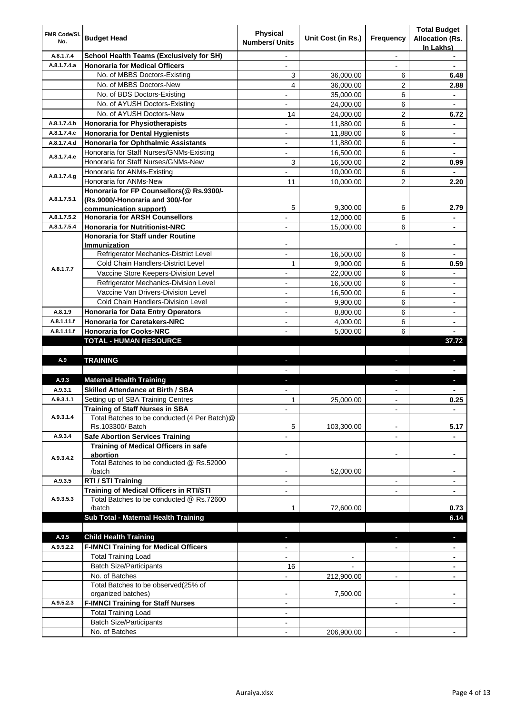| FMR Code/SI.<br>No. | <b>Budget Head</b>                                             | <b>Physical</b><br><b>Numbers/ Units</b> | Unit Cost (in Rs.) | Frequency                | <b>Total Budget</b><br><b>Allocation (Rs.</b><br>In Lakhs) |
|---------------------|----------------------------------------------------------------|------------------------------------------|--------------------|--------------------------|------------------------------------------------------------|
| A.8.1.7.4           | <b>School Health Teams (Exclusively for SH)</b>                | $\overline{\phantom{a}}$                 |                    |                          |                                                            |
| A.8.1.7.4.a         | Honoraria for Medical Officers                                 | $\blacksquare$                           |                    |                          |                                                            |
|                     | No. of MBBS Doctors-Existing                                   | 3                                        | 36,000.00          | 6                        | 6.48                                                       |
|                     | No. of MBBS Doctors-New                                        | $\overline{\mathbf{4}}$                  | 36,000.00          | 2                        | 2.88                                                       |
|                     | No. of BDS Doctors-Existing                                    |                                          | 35,000.00          | 6                        | $\blacksquare$                                             |
|                     | No. of AYUSH Doctors-Existing                                  |                                          | 24,000.00          | 6                        |                                                            |
|                     | No. of AYUSH Doctors-New                                       | 14                                       | 24,000.00          | $\overline{2}$           | 6.72                                                       |
| A.8.1.7.4.b         | <b>Honoraria for Physiotherapists</b>                          | $\overline{\phantom{0}}$                 | 11,880.00          | 6                        | $\blacksquare$                                             |
| A.8.1.7.4.c         | <b>Honoraria for Dental Hygienists</b>                         | $\overline{a}$                           | 11,880.00          | 6                        | $\blacksquare$                                             |
| A.8.1.7.4.d         | Honoraria for Ophthalmic Assistants                            | $\overline{\phantom{a}}$                 | 11,880.00          | 6                        | $\blacksquare$                                             |
| A.8.1.7.4.e         | Honoraria for Staff Nurses/GNMs-Existing                       | $\overline{\phantom{a}}$                 | 16,500.00          | 6                        | $\blacksquare$                                             |
|                     | Honoraria for Staff Nurses/GNMs-New                            | 3                                        | 16,500.00          | $\overline{2}$           | 0.99                                                       |
| A.8.1.7.4.g         | Honoraria for ANMs-Existing                                    |                                          | 10,000.00          | 6                        |                                                            |
|                     | Honoraria for ANMs-New                                         | 11                                       | 10,000.00          | $\overline{c}$           | 2.20                                                       |
|                     | Honoraria for FP Counsellors(@ Rs.9300/-                       |                                          |                    |                          |                                                            |
| A.8.1.7.5.1         | (Rs.9000/-Honoraria and 300/-for                               |                                          |                    |                          |                                                            |
|                     | communication support)                                         | 5                                        | 9,300.00           | 6                        | 2.79                                                       |
| A.8.1.7.5.2         | <b>Honoraria for ARSH Counsellors</b>                          |                                          | 12,000.00          | 6                        |                                                            |
| A.8.1.7.5.4         | <b>Honoraria for Nutritionist-NRC</b>                          | ÷.                                       | 15,000.00          | 6                        | $\blacksquare$                                             |
|                     | Honoraria for Staff under Routine                              | $\overline{\phantom{0}}$                 |                    |                          | $\blacksquare$                                             |
|                     | <b>Immunization</b><br>Refrigerator Mechanics-District Level   | $\overline{a}$                           | 16,500.00          | 6                        |                                                            |
|                     | Cold Chain Handlers-District Level                             | $\mathbf{1}$                             | 9,900.00           | 6                        | 0.59                                                       |
| A.8.1.7.7           | Vaccine Store Keepers-Division Level                           | ÷                                        | 22,000.00          | 6                        |                                                            |
|                     | Refrigerator Mechanics-Division Level                          | $\frac{1}{2}$                            | 16,500.00          | 6                        | $\blacksquare$                                             |
|                     | Vaccine Van Drivers-Division Level                             | ÷                                        | 16,500.00          | 6                        | $\blacksquare$                                             |
|                     | Cold Chain Handlers-Division Level                             |                                          | 9,900.00           | 6                        |                                                            |
| A.8.1.9             | <b>Honoraria for Data Entry Operators</b>                      | $\overline{a}$                           | 8,800.00           | 6                        | $\blacksquare$                                             |
| A.8.1.11.f          | <b>Honoraria for Caretakers-NRC</b>                            | $\overline{\phantom{0}}$                 | 4,000.00           | 6                        | $\blacksquare$                                             |
| A.8.1.11.f          | <b>Honoraria for Cooks-NRC</b>                                 |                                          | 5,000.00           | 6                        |                                                            |
|                     | <b>TOTAL - HUMAN RESOURCE</b>                                  |                                          |                    |                          | 37.72                                                      |
|                     |                                                                |                                          |                    |                          |                                                            |
| A.9                 | <b>TRAINING</b>                                                | a.                                       |                    | a.                       |                                                            |
|                     |                                                                |                                          |                    |                          |                                                            |
| A.9.3               | <b>Maternal Health Training</b>                                | P.                                       |                    | ь                        |                                                            |
| A.9.3.1             | <b>Skilled Attendance at Birth / SBA</b>                       |                                          |                    |                          |                                                            |
| A.9.3.1.1           | Setting up of SBA Training Centres                             | 1                                        | 25.000.00          |                          | 0.25                                                       |
|                     | <b>Training of Staff Nurses in SBA</b>                         |                                          |                    |                          | -                                                          |
| A.9.3.1.4           | Total Batches to be conducted (4 Per Batch)@                   |                                          |                    |                          |                                                            |
|                     | Rs.103300/ Batch                                               | 5                                        | 103,300.00         |                          | 5.17                                                       |
| A.9.3.4             | Safe Abortion Services Training                                |                                          |                    |                          |                                                            |
|                     | Training of Medical Officers in safe                           |                                          |                    |                          |                                                            |
| A.9.3.4.2           | abortion                                                       |                                          |                    |                          |                                                            |
|                     | Total Batches to be conducted @ Rs.52000                       |                                          |                    |                          |                                                            |
|                     | /batch                                                         | ۰                                        | 52,000.00          |                          |                                                            |
| A.9.3.5             | RTI / STI Training                                             |                                          |                    | -                        |                                                            |
|                     | <b>Training of Medical Officers in RTI/STI</b>                 |                                          |                    |                          |                                                            |
| A.9.3.5.3           | Total Batches to be conducted @ Rs.72600                       |                                          |                    |                          |                                                            |
|                     | /batch<br>Sub Total - Maternal Health Training                 | 1                                        | 72,600.00          |                          | 0.73                                                       |
|                     |                                                                |                                          |                    |                          | 6.14                                                       |
|                     |                                                                |                                          |                    |                          |                                                            |
| A.9.5               | <b>Child Health Training</b>                                   | a.                                       |                    | ٠                        | $\overline{\phantom{a}}$                                   |
| A.9.5.2.2           | <b>F-IMNCI Training for Medical Officers</b>                   |                                          |                    |                          |                                                            |
|                     | <b>Total Training Load</b>                                     |                                          |                    |                          |                                                            |
|                     | <b>Batch Size/Participants</b>                                 | 16                                       |                    |                          |                                                            |
|                     | No. of Batches                                                 |                                          | 212,900.00         | $\overline{\phantom{0}}$ |                                                            |
|                     | Total Batches to be observed(25% of                            | ۰                                        | 7,500.00           |                          |                                                            |
| A.9.5.2.3           | organized batches)<br><b>F-IMNCI Training for Staff Nurses</b> | ۰                                        |                    | $\overline{a}$           |                                                            |
|                     | <b>Total Training Load</b>                                     |                                          |                    |                          |                                                            |
|                     | <b>Batch Size/Participants</b>                                 | $\blacksquare$                           |                    |                          |                                                            |
|                     | No. of Batches                                                 |                                          | 206,900.00         | ÷.                       |                                                            |
|                     |                                                                |                                          |                    |                          |                                                            |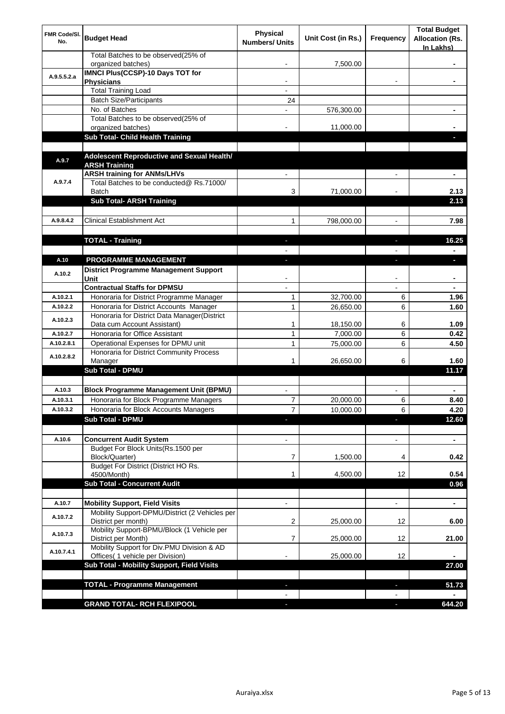| <b>FMR Code/SI.</b><br>No. | <b>Budget Head</b>                                                             | <b>Physical</b><br><b>Numbers/ Units</b> | Unit Cost (in Rs.) | Frequency      | <b>Total Budget</b><br><b>Allocation (Rs.</b><br>In Lakhs) |
|----------------------------|--------------------------------------------------------------------------------|------------------------------------------|--------------------|----------------|------------------------------------------------------------|
|                            | Total Batches to be observed(25% of<br>organized batches)                      |                                          | 7,500.00           |                |                                                            |
| A.9.5.5.2.a                | <b>IMNCI Plus(CCSP)-10 Days TOT for</b><br><b>Physicians</b>                   |                                          |                    | $\blacksquare$ | ٠                                                          |
|                            | <b>Total Training Load</b>                                                     |                                          |                    |                |                                                            |
|                            | <b>Batch Size/Participants</b>                                                 | 24                                       |                    |                |                                                            |
|                            | No. of Batches                                                                 |                                          | 576,300.00         |                |                                                            |
|                            | Total Batches to be observed(25% of                                            |                                          |                    |                |                                                            |
|                            | organized batches)<br>Sub Total- Child Health Training                         |                                          | 11,000.00          |                |                                                            |
|                            |                                                                                |                                          |                    |                |                                                            |
|                            | Adolescent Reproductive and Sexual Health/                                     |                                          |                    |                |                                                            |
| A.9.7                      | <b>ARSH Training</b>                                                           |                                          |                    |                |                                                            |
|                            | <b>ARSH training for ANMs/LHVs</b>                                             |                                          |                    |                |                                                            |
| A.9.7.4                    | Total Batches to be conducted@ Rs.71000/                                       |                                          |                    |                |                                                            |
|                            | <b>Batch</b>                                                                   | 3                                        | 71,000.00          |                | 2.13                                                       |
|                            | <b>Sub Total- ARSH Training</b>                                                |                                          |                    |                | 2.13                                                       |
| A.9.8.4.2                  | <b>Clinical Establishment Act</b>                                              | 1                                        | 798,000.00         |                | 7.98                                                       |
|                            |                                                                                |                                          |                    |                |                                                            |
|                            | <b>TOTAL - Training</b>                                                        |                                          |                    |                | 16.25                                                      |
|                            |                                                                                |                                          |                    |                |                                                            |
| A.10                       | <b>PROGRAMME MANAGEMENT</b>                                                    |                                          |                    |                | E.                                                         |
|                            | <b>District Programme Management Support</b>                                   |                                          |                    |                |                                                            |
| A.10.2                     | Unit                                                                           |                                          |                    |                |                                                            |
|                            | <b>Contractual Staffs for DPMSU</b>                                            |                                          |                    |                |                                                            |
| A.10.2.1                   | Honoraria for District Programme Manager                                       | 1                                        | 32,700.00          | 6              | 1.96                                                       |
| A.10.2.2                   | Honoraria for District Accounts Manager                                        | 1                                        | 26,650.00          | 6              | 1.60                                                       |
| A.10.2.3                   | Honoraria for District Data Manager(District                                   |                                          |                    |                |                                                            |
|                            | Data cum Account Assistant)                                                    | 1                                        | 18,150.00          | 6              | 1.09                                                       |
| A.10.2.7<br>A.10.2.8.1     | Honoraria for Office Assistant                                                 | 1<br>$\mathbf{1}$                        | 7,000.00           | 6<br>6         | 0.42<br>4.50                                               |
|                            | Operational Expenses for DPMU unit<br>Honoraria for District Community Process |                                          | 75,000.00          |                |                                                            |
| A.10.2.8.2                 | Manager                                                                        |                                          | 26,650.00          | 6              | 1.60                                                       |
|                            | Sub Total - DPMU                                                               |                                          |                    |                | 11.17                                                      |
|                            |                                                                                |                                          |                    |                |                                                            |
| A.10.3                     | <b>Block Programme Management Unit (BPMU)</b>                                  |                                          |                    |                |                                                            |
| A.10.3.1                   | Honoraria for Block Programme Managers                                         | 7                                        | 20.000.00          | 6              | 8.40                                                       |
| A.10.3.2                   | Honoraria for Block Accounts Managers                                          | $\overline{7}$                           | 10,000.00          | 6              | 4.20                                                       |
|                            | Sub Total - DPMU                                                               |                                          |                    | ä,             | 12.60                                                      |
|                            |                                                                                |                                          |                    |                |                                                            |
| A.10.6                     | <b>Concurrent Audit System</b>                                                 |                                          |                    | $\frac{1}{2}$  | $\blacksquare$                                             |
|                            | Budget For Block Units(Rs.1500 per<br>Block/Quarter)                           | 7                                        |                    |                | 0.42                                                       |
|                            | Budget For District (District HO Rs.                                           |                                          | 1,500.00           | 4              |                                                            |
|                            | 4500/Month)                                                                    | 1                                        | 4,500.00           | 12             | 0.54                                                       |
|                            | <b>Sub Total - Concurrent Audit</b>                                            |                                          |                    |                | 0.96                                                       |
|                            |                                                                                |                                          |                    |                |                                                            |
| A.10.7                     | <b>Mobility Support, Field Visits</b>                                          | $\overline{\phantom{a}}$                 |                    | $\blacksquare$ | $\blacksquare$                                             |
| A.10.7.2                   | Mobility Support-DPMU/District (2 Vehicles per                                 |                                          |                    |                |                                                            |
|                            | District per month)                                                            | 2                                        | 25,000.00          | 12             | 6.00                                                       |
| A.10.7.3                   | Mobility Support-BPMU/Block (1 Vehicle per<br>District per Month)              | 7                                        | 25,000.00          | 12             | 21.00                                                      |
|                            | Mobility Support for Div.PMU Division & AD                                     |                                          |                    |                |                                                            |
| A.10.7.4.1                 | Offices( 1 vehicle per Division)                                               |                                          | 25,000.00          | 12             |                                                            |
|                            | Sub Total - Mobility Support, Field Visits                                     |                                          |                    |                | 27.00                                                      |
|                            |                                                                                |                                          |                    |                |                                                            |
|                            | <b>TOTAL - Programme Management</b>                                            | e.                                       |                    | $\blacksquare$ | 51.73                                                      |
|                            |                                                                                |                                          |                    |                |                                                            |
|                            | <b>GRAND TOTAL- RCH FLEXIPOOL</b>                                              |                                          |                    |                | 644.20                                                     |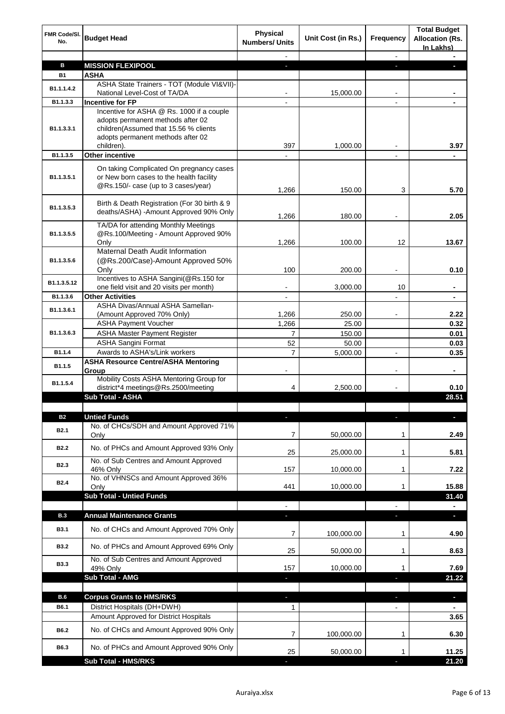| FMR Code/SI.<br>No.        | <b>Budget Head</b>                                                                                                                                                         | <b>Physical</b><br><b>Numbers/ Units</b> | Unit Cost (in Rs.) | <b>Frequency</b> | <b>Total Budget</b><br><b>Allocation (Rs.</b><br>In Lakhs) |
|----------------------------|----------------------------------------------------------------------------------------------------------------------------------------------------------------------------|------------------------------------------|--------------------|------------------|------------------------------------------------------------|
|                            |                                                                                                                                                                            |                                          |                    |                  |                                                            |
| B                          | <b>MISSION FLEXIPOOL</b>                                                                                                                                                   |                                          |                    | н                |                                                            |
| <b>B1</b>                  | <b>ASHA</b>                                                                                                                                                                |                                          |                    |                  |                                                            |
| B1.1.1.4.2                 | ASHA State Trainers - TOT (Module VI&VII)-<br>National Level-Cost of TA/DA                                                                                                 |                                          | 15,000.00          |                  |                                                            |
| B1.1.3.3                   | <b>Incentive for FP</b>                                                                                                                                                    |                                          |                    |                  |                                                            |
| B1.1.3.3.1                 | Incentive for ASHA @ Rs. 1000 if a couple<br>adopts permanent methods after 02<br>children(Assumed that 15.56 % clients<br>adopts permanent methods after 02<br>children). | 397                                      | 1.000.00           |                  | 3.97                                                       |
| B1.1.3.5                   | <b>Other incentive</b>                                                                                                                                                     |                                          |                    |                  |                                                            |
| B <sub>1.1</sub> , 3, 5, 1 | On taking Complicated On pregnancy cases<br>or New born cases to the health facility<br>@Rs.150/- case (up to 3 cases/year)                                                | 1,266                                    | 150.00             | 3                | 5.70                                                       |
| B1.1.3.5.3                 | Birth & Death Registration (For 30 birth & 9<br>deaths/ASHA) - Amount Approved 90% Only                                                                                    | 1,266                                    | 180.00             |                  | 2.05                                                       |
| B1.1.3.5.5                 | TA/DA for attending Monthly Meetings<br>@Rs.100/Meeting - Amount Approved 90%                                                                                              |                                          |                    |                  |                                                            |
|                            | Only                                                                                                                                                                       | 1,266                                    | 100.00             | 12               | 13.67                                                      |
| B1.1.3.5.6                 | Maternal Death Audit Information<br>(@Rs.200/Case)-Amount Approved 50%                                                                                                     |                                          |                    |                  |                                                            |
|                            | Only                                                                                                                                                                       | 100                                      | 200.00             |                  | 0.10                                                       |
| B1.1.3.5.12                | Incentives to ASHA Sangini(@Rs.150 for                                                                                                                                     |                                          |                    |                  |                                                            |
| B1.1.3.6                   | one field visit and 20 visits per month)<br><b>Other Activities</b>                                                                                                        | $\overline{\phantom{a}}$                 | 3,000.00           | 10               | -<br>$\blacksquare$                                        |
|                            | ASHA Divas/Annual ASHA Samellan-                                                                                                                                           |                                          |                    |                  |                                                            |
| B1.1.3.6.1                 | (Amount Approved 70% Only)                                                                                                                                                 | 1,266                                    | 250.00             |                  | 2.22                                                       |
|                            | <b>ASHA Payment Voucher</b>                                                                                                                                                | 1,266                                    | 25.00              |                  | 0.32                                                       |
| B1.1.3.6.3                 | <b>ASHA Master Payment Register</b>                                                                                                                                        | $\overline{7}$                           | 150.00             |                  | 0.01                                                       |
|                            | <b>ASHA Sangini Format</b>                                                                                                                                                 | 52                                       | 50.00              |                  | 0.03                                                       |
| B1.1.4                     | Awards to ASHA's/Link workers                                                                                                                                              | 7                                        | 5,000.00           | $\overline{a}$   | 0.35                                                       |
| B1.1.5                     | <b>ASHA Resource Centre/ASHA Mentoring</b><br>Group                                                                                                                        |                                          |                    |                  |                                                            |
| B1.1.5.4                   | Mobility Costs ASHA Mentoring Group for<br>district*4 meetings@Rs.2500/meeting                                                                                             | 4                                        | 2,500.00           |                  | 0.10                                                       |
|                            | Sub Total - ASHA                                                                                                                                                           |                                          |                    |                  | 28.51                                                      |
|                            |                                                                                                                                                                            |                                          |                    |                  |                                                            |
| <b>B2</b>                  | <b>Untied Funds</b>                                                                                                                                                        |                                          |                    |                  |                                                            |
| <b>B2.1</b>                | No. of CHCs/SDH and Amount Approved 71%<br>Only                                                                                                                            | 7                                        | 50,000.00          | 1                | 2.49                                                       |
| B <sub>2.2</sub>           | No. of PHCs and Amount Approved 93% Only                                                                                                                                   | 25                                       | 25,000.00          | 1                | 5.81                                                       |
| <b>B2.3</b>                | No. of Sub Centres and Amount Approved<br>46% Only<br>No. of VHNSCs and Amount Approved 36%                                                                                | 157                                      | 10,000.00          | 1                | 7.22                                                       |
| B <sub>2.4</sub>           | Only<br><b>Sub Total - Untied Funds</b>                                                                                                                                    | 441                                      | 10,000.00          | 1                | 15.88<br>31.40                                             |
|                            |                                                                                                                                                                            | $\overline{\phantom{a}}$                 |                    | $\blacksquare$   | $\blacksquare$                                             |
| <b>B.3</b>                 | <b>Annual Maintenance Grants</b>                                                                                                                                           | $\overline{\phantom{a}}$                 |                    | b.               | ٠                                                          |
| <b>B3.1</b>                | No. of CHCs and Amount Approved 70% Only                                                                                                                                   | 7                                        | 100,000.00         | 1                | 4.90                                                       |
| <b>B3.2</b>                | No. of PHCs and Amount Approved 69% Only                                                                                                                                   | 25                                       | 50,000.00          | 1                | 8.63                                                       |
| <b>B3.3</b>                | No. of Sub Centres and Amount Approved<br>49% Only                                                                                                                         | 157                                      | 10,000.00          | 1                | 7.69                                                       |
|                            | Sub Total - AMG                                                                                                                                                            |                                          |                    | Ξ                | 21.22                                                      |
|                            |                                                                                                                                                                            |                                          |                    |                  |                                                            |
| B.6                        | <b>Corpus Grants to HMS/RKS</b>                                                                                                                                            | a.                                       |                    | $\blacksquare$   | ٠                                                          |
| B6.1                       | District Hospitals (DH+DWH)                                                                                                                                                | $\mathbf{1}$                             |                    | $\blacksquare$   | $\blacksquare$                                             |
|                            | Amount Approved for District Hospitals                                                                                                                                     |                                          |                    |                  | 3.65                                                       |
| <b>B6.2</b>                | No. of CHCs and Amount Approved 90% Only                                                                                                                                   | 7                                        | 100,000.00         | 1                | 6.30                                                       |
| B6.3                       | No. of PHCs and Amount Approved 90% Only                                                                                                                                   | 25                                       | 50,000.00          |                  | 11.25                                                      |
|                            | <b>Sub Total - HMS/RKS</b>                                                                                                                                                 |                                          |                    |                  | 21.20                                                      |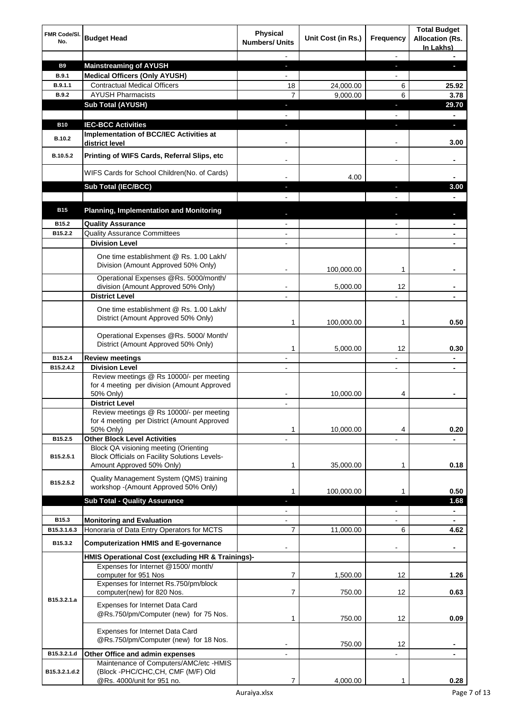| FMR Code/SI.<br>No. | <b>Budget Head</b>                                                                                   | <b>Physical</b><br><b>Numbers/ Units</b> | Unit Cost (in Rs.) | Frequency                | <b>Total Budget</b><br><b>Allocation (Rs.</b><br>In Lakhs) |
|---------------------|------------------------------------------------------------------------------------------------------|------------------------------------------|--------------------|--------------------------|------------------------------------------------------------|
|                     |                                                                                                      |                                          |                    |                          |                                                            |
| <b>B9</b>           | <b>Mainstreaming of AYUSH</b>                                                                        |                                          |                    |                          |                                                            |
| <b>B.9.1</b>        | <b>Medical Officers (Only AYUSH)</b>                                                                 |                                          |                    |                          |                                                            |
| B.9.1.1             | <b>Contractual Medical Officers</b><br><b>AYUSH Pharmacists</b>                                      | 18                                       | 24,000.00          | 6                        | 25.92                                                      |
| B.9.2               |                                                                                                      | $\overline{7}$                           | 9,000.00           | 6                        | 3.78<br>29.70                                              |
|                     | <b>Sub Total (AYUSH)</b>                                                                             |                                          |                    |                          |                                                            |
| <b>B10</b>          | <b>IEC-BCC Activities</b>                                                                            |                                          |                    |                          | ٠                                                          |
|                     | Implementation of BCC/IEC Activities at                                                              |                                          |                    |                          |                                                            |
| <b>B.10.2</b>       | district level                                                                                       |                                          |                    |                          | 3.00                                                       |
| B.10.5.2            | Printing of WIFS Cards, Referral Slips, etc                                                          |                                          |                    |                          | -                                                          |
|                     | WIFS Cards for School Children(No. of Cards)                                                         |                                          | 4.00               |                          |                                                            |
|                     | Sub Total (IEC/BCC)                                                                                  |                                          |                    |                          | 3.00                                                       |
|                     |                                                                                                      |                                          |                    |                          |                                                            |
| <b>B15</b>          | <b>Planning, Implementation and Monitoring</b>                                                       |                                          |                    |                          |                                                            |
| B <sub>15.2</sub>   | <b>Quality Assurance</b>                                                                             |                                          |                    |                          |                                                            |
| B15.2.2             | <b>Quality Assurance Committees</b>                                                                  |                                          |                    |                          |                                                            |
|                     | <b>Division Level</b>                                                                                |                                          |                    |                          |                                                            |
|                     | One time establishment @ Rs. 1.00 Lakh/<br>Division (Amount Approved 50% Only)                       |                                          | 100,000.00         | 1                        |                                                            |
|                     | Operational Expenses @Rs. 5000/month/                                                                |                                          |                    |                          |                                                            |
|                     | division (Amount Approved 50% Only)                                                                  |                                          | 5,000.00           | 12                       |                                                            |
|                     | <b>District Level</b>                                                                                |                                          |                    |                          |                                                            |
|                     | One time establishment @ Rs. 1.00 Lakh/<br>District (Amount Approved 50% Only)                       | 1                                        | 100,000.00         | 1                        | 0.50                                                       |
|                     | Operational Expenses @Rs. 5000/ Month/<br>District (Amount Approved 50% Only)                        | 1                                        | 5,000.00           | 12                       | 0.30                                                       |
| B15.2.4             | <b>Review meetings</b>                                                                               |                                          |                    | $\blacksquare$           |                                                            |
| B15.2.4.2           | <b>Division Level</b>                                                                                | $\blacksquare$                           |                    | $\blacksquare$           | $\blacksquare$                                             |
|                     | Review meetings @ Rs 10000/- per meeting<br>for 4 meeting per division (Amount Approved<br>50% Only) |                                          | 10,000.00          | 4                        |                                                            |
|                     | <b>District Level</b>                                                                                |                                          |                    |                          |                                                            |
|                     | Review meetings @ Rs 10000/- per meeting                                                             |                                          |                    |                          |                                                            |
|                     | for 4 meeting per District (Amount Approved                                                          |                                          |                    |                          |                                                            |
| B15.2.5             | 50% Only)<br><b>Other Block Level Activities</b>                                                     | 1                                        | 10.000.00          | 4                        | 0.20                                                       |
|                     | Block QA visioning meeting (Orienting                                                                |                                          |                    |                          |                                                            |
| B15.2.5.1           | <b>Block Officials on Facility Solutions Levels-</b><br>Amount Approved 50% Only)                    | 1                                        | 35,000.00          | 1                        | 0.18                                                       |
| B15.2.5.2           | Quality Management System (QMS) training<br>workshop - (Amount Approved 50% Only)                    |                                          |                    |                          |                                                            |
|                     | <b>Sub Total - Quality Assurance</b>                                                                 | 1                                        | 100,000.00         | 1<br>٥                   | 0.50<br>1.68                                               |
|                     |                                                                                                      | $\blacksquare$                           |                    | $\overline{\phantom{a}}$ | $\blacksquare$                                             |
| B15.3               | <b>Monitoring and Evaluation</b>                                                                     | $\blacksquare$                           |                    | $\blacksquare$           | $\blacksquare$                                             |
| B15.3.1.6.3         | Honoraria of Data Entry Operators for MCTS                                                           | $\overline{7}$                           | 11,000.00          | 6                        | 4.62                                                       |
| B15.3.2             | <b>Computerization HMIS and E-governance</b>                                                         |                                          |                    |                          |                                                            |
|                     | HMIS Operational Cost (excluding HR & Trainings)-                                                    |                                          |                    |                          |                                                            |
|                     | Expenses for Internet @1500/month/<br>computer for 951 Nos<br>Expenses for Internet Rs.750/pm/block  | 7                                        | 1,500.00           | 12                       | 1.26                                                       |
|                     | computer(new) for 820 Nos.                                                                           | 7                                        | 750.00             | 12                       | 0.63                                                       |
| B15.3.2.1.a         | Expenses for Internet Data Card<br>@Rs.750/pm/Computer (new) for 75 Nos.                             | 1                                        | 750.00             | 12                       | 0.09                                                       |
|                     | Expenses for Internet Data Card                                                                      |                                          |                    |                          |                                                            |
|                     | @Rs.750/pm/Computer (new) for 18 Nos.                                                                |                                          |                    |                          |                                                            |
|                     |                                                                                                      |                                          | 750.00             | 12                       |                                                            |
| B15.3.2.1.d         | Other Office and admin expenses<br>Maintenance of Computers/AMC/etc -HMIS                            |                                          |                    |                          |                                                            |
| B15.3.2.1.d.2       | (Block -PHC/CHC,CH, CMF (M/F) Old<br>@Rs. 4000/unit for 951 no.                                      | 7                                        | 4,000.00           |                          | 0.28                                                       |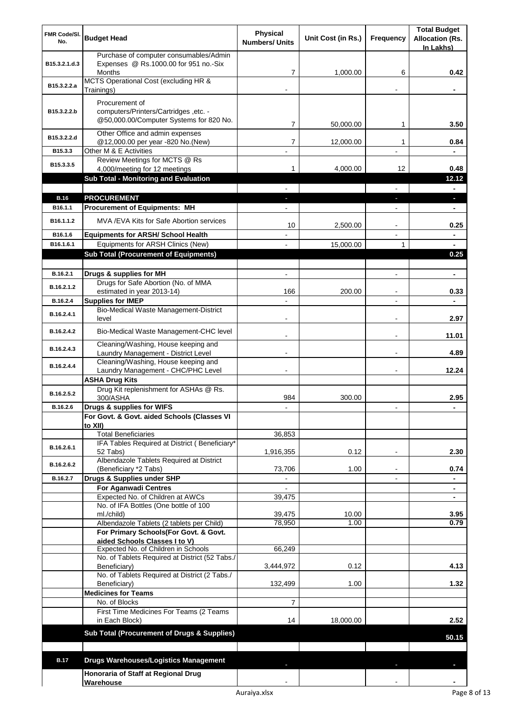| <b>FMR Code/SI.</b> | <b>Budget Head</b>                                                                                 | <b>Physical</b>       | Unit Cost (in Rs.) | <b>Frequency</b> | <b>Total Budget</b><br><b>Allocation (Rs.</b> |
|---------------------|----------------------------------------------------------------------------------------------------|-----------------------|--------------------|------------------|-----------------------------------------------|
| No.                 |                                                                                                    | <b>Numbers/ Units</b> |                    |                  | In Lakhs)                                     |
| B15.3.2.1.d.3       | Purchase of computer consumables/Admin<br>Expenses @ Rs.1000.00 for 951 no.-Six<br><b>Months</b>   | 7                     | 1,000.00           | 6                | 0.42                                          |
|                     | MCTS Operational Cost (excluding HR &                                                              |                       |                    |                  |                                               |
| B15.3.2.2.a         | Trainings)                                                                                         |                       |                    |                  |                                               |
| B15.3.2.2.b         | Procurement of<br>computers/Printers/Cartridges, etc. -<br>@50,000.00/Computer Systems for 820 No. | 7                     | 50,000.00          | 1                | 3.50                                          |
| B15.3.2.2.d         | Other Office and admin expenses                                                                    |                       |                    |                  |                                               |
| B15.3.3             | @12,000.00 per year -820 No.(New)<br>Other M & E Activities                                        | $\overline{7}$        | 12,000.00          | 1                | 0.84                                          |
| B15.3.3.5           | Review Meetings for MCTS @ Rs                                                                      |                       |                    |                  |                                               |
|                     | 4,000/meeting for 12 meetings                                                                      | 1                     | 4,000.00           | 12               | 0.48                                          |
|                     | <b>Sub Total - Monitoring and Evaluation</b>                                                       |                       |                    |                  | 12.12                                         |
| <b>B.16</b>         | <b>PROCUREMENT</b>                                                                                 |                       |                    |                  |                                               |
| B16.1.1             | <b>Procurement of Equipments: MH</b>                                                               |                       |                    |                  | $\blacksquare$                                |
| B16.1.1.2           | MVA/EVA Kits for Safe Abortion services                                                            | 10                    | 2,500.00           |                  | 0.25                                          |
| B16.1.6             | <b>Equipments for ARSH/ School Health</b>                                                          |                       |                    |                  | $\blacksquare$                                |
| B16.1.6.1           | Equipments for ARSH Clinics (New)<br><b>Sub Total (Procurement of Equipments)</b>                  |                       | 15,000.00          | 1                | 0.25                                          |
|                     |                                                                                                    |                       |                    |                  |                                               |
| B.16.2.1            | Drugs & supplies for MH                                                                            |                       |                    |                  | $\blacksquare$                                |
| B.16.2.1.2          | Drugs for Safe Abortion (No. of MMA<br>estimated in year 2013-14)                                  | 166                   | 200.00             |                  | 0.33                                          |
| B.16.2.4            | <b>Supplies for IMEP</b>                                                                           |                       |                    |                  |                                               |
| B.16.2.4.1          | Bio-Medical Waste Management-District<br>level                                                     |                       |                    |                  | 2.97                                          |
| B.16.2.4.2          | Bio-Medical Waste Management-CHC level                                                             |                       |                    |                  | 11.01                                         |
| B.16.2.4.3          | Cleaning/Washing, House keeping and<br>Laundry Management - District Level                         | $\blacksquare$        |                    |                  | 4.89                                          |
| B.16.2.4.4          | Cleaning/Washing, House keeping and<br>Laundry Management - CHC/PHC Level                          |                       |                    |                  | 12.24                                         |
|                     | <b>ASHA Drug Kits</b>                                                                              |                       |                    |                  |                                               |
| B.16.2.5.2          | Drug Kit replenishment for ASHAs @ Rs.                                                             |                       |                    |                  |                                               |
|                     | 300/ASHA<br>Drugs & supplies for WIFS                                                              | 984                   | 300.00             |                  | 2.95                                          |
| B.16.2.6            | For Govt. & Govt. aided Schools (Classes VI                                                        |                       |                    |                  |                                               |
|                     | to XII)                                                                                            |                       |                    |                  |                                               |
|                     | <b>Total Beneficiaries</b>                                                                         | 36,853                |                    |                  |                                               |
| B.16.2.6.1          | IFA Tables Required at District (Beneficiary*<br>52 Tabs)                                          | 1,916,355             | 0.12               |                  | 2.30                                          |
| B.16.2.6.2          | Albendazole Tablets Required at District<br>(Beneficiary *2 Tabs)                                  | 73,706                | 1.00               |                  | 0.74                                          |
| B.16.2.7            | Drugs & Supplies under SHP                                                                         |                       |                    |                  |                                               |
|                     | <b>For Aganwadi Centres</b>                                                                        |                       |                    |                  |                                               |
|                     | Expected No. of Children at AWCs<br>No. of IFA Bottles (One bottle of 100                          | 39,475                |                    |                  |                                               |
|                     | ml./child)<br>Albendazole Tablets (2 tablets per Child)                                            | 39,475<br>78,950      | 10.00<br>1.00      |                  | 3.95<br>0.79                                  |
|                     | For Primary Schools(For Govt. & Govt.<br>aided Schools Classes I to V)                             |                       |                    |                  |                                               |
|                     | Expected No. of Children in Schools                                                                | 66,249                |                    |                  |                                               |
|                     | No. of Tablets Required at District (52 Tabs./<br>Beneficiary)                                     | 3,444,972             | 0.12               |                  | 4.13                                          |
|                     | No. of Tablets Required at District (2 Tabs./<br>Beneficiary)                                      | 132,499               | 1.00               |                  | 1.32                                          |
|                     | <b>Medicines for Teams</b>                                                                         |                       |                    |                  |                                               |
|                     | No. of Blocks<br>First Time Medicines For Teams (2 Teams                                           | $\overline{7}$        |                    |                  |                                               |
|                     | in Each Block)                                                                                     | 14                    | 18,000.00          |                  | 2.52                                          |
|                     | Sub Total (Procurement of Drugs & Supplies)                                                        |                       |                    |                  | 50.15                                         |
| <b>B.17</b>         | <b>Drugs Warehouses/Logistics Management</b>                                                       |                       |                    |                  |                                               |
|                     | Honoraria of Staff at Regional Drug                                                                |                       |                    |                  |                                               |
|                     | Warehouse                                                                                          |                       |                    |                  |                                               |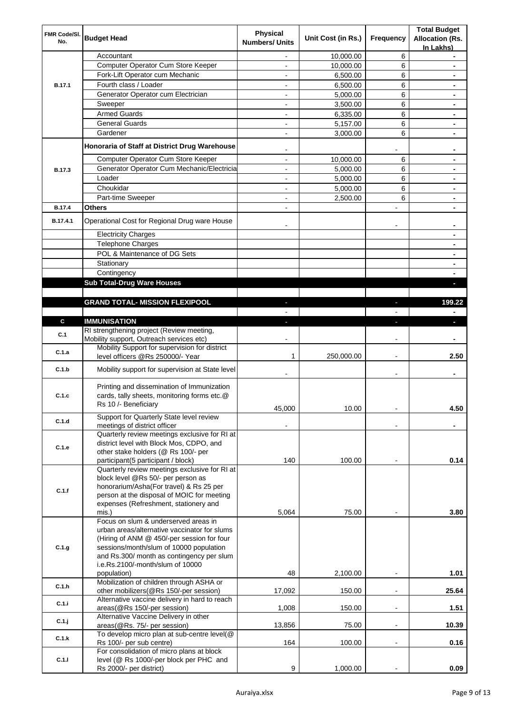| FMR Code/SI.<br>No. | <b>Budget Head</b>                                                                                                | <b>Physical</b><br><b>Numbers/ Units</b> | Unit Cost (in Rs.) | <b>Frequency</b>         | <b>Total Budget</b><br><b>Allocation (Rs.</b><br>In Lakhs) |
|---------------------|-------------------------------------------------------------------------------------------------------------------|------------------------------------------|--------------------|--------------------------|------------------------------------------------------------|
|                     | Accountant                                                                                                        |                                          | 10,000.00          | 6                        |                                                            |
|                     | Computer Operator Cum Store Keeper                                                                                |                                          | 10,000.00          | 6                        |                                                            |
|                     | Fork-Lift Operator cum Mechanic                                                                                   | $\overline{\phantom{0}}$                 | 6,500.00           | 6                        |                                                            |
| B.17.1              | Fourth class / Loader                                                                                             | $\overline{a}$                           | 6,500.00           | 6                        | $\blacksquare$                                             |
|                     | Generator Operator cum Electrician                                                                                | ۰                                        | 5,000.00           | 6                        |                                                            |
|                     | Sweeper                                                                                                           |                                          | 3,500.00           | 6                        |                                                            |
|                     | <b>Armed Guards</b>                                                                                               |                                          | 6,335.00           | 6                        |                                                            |
|                     | <b>General Guards</b>                                                                                             | $\overline{\phantom{0}}$                 | 5,157.00           | 6                        |                                                            |
|                     | Gardener                                                                                                          | $\blacksquare$                           | 3,000.00           | 6                        | $\blacksquare$                                             |
|                     | Honoraria of Staff at District Drug Warehouse                                                                     |                                          |                    |                          |                                                            |
|                     | Computer Operator Cum Store Keeper                                                                                | $\overline{\phantom{0}}$                 | 10,000.00          | 6                        |                                                            |
| B.17.3              | Generator Operator Cum Mechanic/Electricia                                                                        | $\overline{a}$                           | 5,000.00           | 6                        | $\blacksquare$                                             |
|                     | Loader                                                                                                            | $\overline{a}$                           | 5,000.00           | 6                        | $\blacksquare$                                             |
|                     | Choukidar                                                                                                         | $\overline{\phantom{0}}$                 | 5,000.00           | 6                        | $\blacksquare$                                             |
|                     | Part-time Sweeper                                                                                                 | L,                                       | 2,500.00           | 6                        |                                                            |
| B.17.4              | Others                                                                                                            | ٠                                        |                    | L,                       |                                                            |
| B.17.4.1            | Operational Cost for Regional Drug ware House                                                                     |                                          |                    | $\blacksquare$           |                                                            |
|                     | <b>Electricity Charges</b>                                                                                        |                                          |                    |                          |                                                            |
|                     | <b>Telephone Charges</b>                                                                                          |                                          |                    |                          |                                                            |
|                     | POL & Maintenance of DG Sets                                                                                      |                                          |                    |                          |                                                            |
|                     | Stationary                                                                                                        |                                          |                    |                          |                                                            |
|                     | Contingency                                                                                                       |                                          |                    |                          |                                                            |
|                     | <b>Sub Total-Drug Ware Houses</b>                                                                                 |                                          |                    |                          |                                                            |
|                     |                                                                                                                   |                                          |                    |                          |                                                            |
|                     | <b>GRAND TOTAL- MISSION FLEXIPOOL</b>                                                                             |                                          |                    |                          | 199.22                                                     |
| C.                  | <b>IMMUNISATION</b>                                                                                               | a.                                       |                    |                          |                                                            |
|                     | RI strengthening project (Review meeting,                                                                         |                                          |                    |                          |                                                            |
| C.1                 | Mobility support, Outreach services etc)                                                                          |                                          |                    |                          |                                                            |
| C.1.a               | Mobility Support for supervision for district                                                                     |                                          |                    |                          |                                                            |
|                     | level officers @Rs 250000/- Year                                                                                  | 1                                        | 250,000.00         | $\overline{a}$           | 2.50                                                       |
| C.1.b               | Mobility support for supervision at State level                                                                   |                                          |                    |                          |                                                            |
| C.1.c               | Printing and dissemination of Immunization<br>cards, tally sheets, monitoring forms etc.@<br>Rs 10 /- Beneficiary |                                          |                    |                          |                                                            |
|                     |                                                                                                                   | 45,000                                   | 10.00              | $\blacksquare$           | 4.50                                                       |
| C.1.d               | Support for Quarterly State level review                                                                          |                                          |                    |                          |                                                            |
|                     | meetings of district officer<br>Quarterly review meetings exclusive for RI at                                     |                                          |                    |                          |                                                            |
| C.1.e               | district level with Block Mos, CDPO, and<br>other stake holders (@ Rs 100/- per                                   |                                          |                    |                          |                                                            |
|                     | participant(5 participant / block)                                                                                | 140                                      | 100.00             |                          | 0.14                                                       |
|                     | Quarterly review meetings exclusive for RI at<br>block level @Rs 50/- per person as                               |                                          |                    |                          |                                                            |
| C.1.f               | honorarium/Asha(For travel) & Rs 25 per                                                                           |                                          |                    |                          |                                                            |
|                     | person at the disposal of MOIC for meeting                                                                        |                                          |                    |                          |                                                            |
|                     | expenses (Refreshment, stationery and<br>mis.)                                                                    | 5,064                                    | 75.00              |                          | 3.80                                                       |
|                     | Focus on slum & underserved areas in                                                                              |                                          |                    |                          |                                                            |
|                     | urban areas/alternative vaccinator for slums                                                                      |                                          |                    |                          |                                                            |
|                     | (Hiring of ANM @ 450/-per session for four                                                                        |                                          |                    |                          |                                                            |
| C.1.g               | sessions/month/slum of 10000 population                                                                           |                                          |                    |                          |                                                            |
|                     | and Rs.300/ month as contingency per slum<br>i.e.Rs.2100/-month/slum of 10000                                     |                                          |                    |                          |                                                            |
|                     | population)                                                                                                       | 48                                       | 2,100.00           |                          | 1.01                                                       |
|                     | Mobilization of children through ASHA or                                                                          |                                          |                    |                          |                                                            |
| C.1.h               | other mobilizers(@Rs 150/-per session)                                                                            | 17,092                                   | 150.00             | $\blacksquare$           | 25.64                                                      |
| C.1.i               | Alternative vaccine delivery in hard to reach                                                                     |                                          |                    |                          |                                                            |
|                     | areas(@Rs 150/-per session)                                                                                       | 1,008                                    | 150.00             | ÷                        | 1.51                                                       |
| C.1.j               | Alternative Vaccine Delivery in other                                                                             |                                          |                    |                          |                                                            |
|                     | areas(@Rs. 75/- per session)<br>To develop micro plan at sub-centre level(@                                       | 13,856                                   | 75.00              | $\overline{\phantom{a}}$ | 10.39                                                      |
| C.1.k               | Rs 100/- per sub centre)                                                                                          | 164                                      | 100.00             | $\overline{\phantom{a}}$ | 0.16                                                       |
|                     | For consolidation of micro plans at block                                                                         |                                          |                    |                          |                                                            |
| C.1.1               | level (@ Rs 1000/-per block per PHC and<br>Rs 2000/- per district)                                                | 9                                        | 1,000.00           |                          | 0.09                                                       |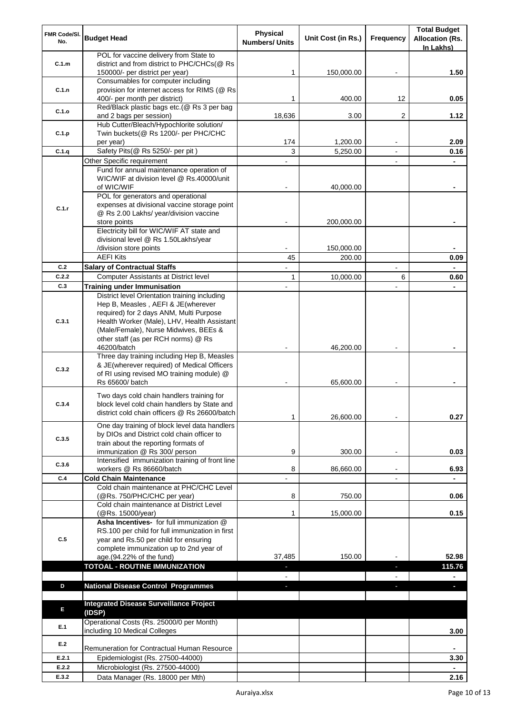| FMR Code/SI.<br>No. | <b>Budget Head</b>                                                                                                                                                                                                     | <b>Physical</b><br><b>Numbers/ Units</b> | Unit Cost (in Rs.) | <b>Frequency</b>         | <b>Total Budget</b><br><b>Allocation (Rs.</b> |
|---------------------|------------------------------------------------------------------------------------------------------------------------------------------------------------------------------------------------------------------------|------------------------------------------|--------------------|--------------------------|-----------------------------------------------|
|                     | POL for vaccine delivery from State to                                                                                                                                                                                 |                                          |                    |                          | In Lakhs)                                     |
| C.1.m               | district and from district to PHC/CHCs(@ Rs                                                                                                                                                                            |                                          |                    |                          |                                               |
|                     | 150000/- per district per year)<br>Consumables for computer including                                                                                                                                                  | 1                                        | 150,000.00         |                          | 1.50                                          |
| C.1.n               | provision for internet access for RIMS (@ Rs                                                                                                                                                                           |                                          |                    |                          |                                               |
|                     | 400/- per month per district)                                                                                                                                                                                          | 1                                        | 400.00             | 12                       | 0.05                                          |
| C.1.o               | Red/Black plastic bags etc.(@ Rs 3 per bag                                                                                                                                                                             | 18,636                                   | 3.00               | 2                        | 1.12                                          |
|                     | and 2 bags per session)<br>Hub Cutter/Bleach/Hypochlorite solution/                                                                                                                                                    |                                          |                    |                          |                                               |
| C.1.p               | Twin buckets(@ Rs 1200/- per PHC/CHC                                                                                                                                                                                   |                                          |                    |                          |                                               |
|                     | per year)                                                                                                                                                                                                              | 174                                      | 1,200.00           |                          | 2.09                                          |
| C.1.q               | Safety Pits(@ Rs 5250/- per pit)                                                                                                                                                                                       | 3                                        | 5,250.00           |                          | 0.16                                          |
|                     | Other Specific requirement<br>Fund for annual maintenance operation of                                                                                                                                                 |                                          |                    |                          |                                               |
|                     | WIC/WIF at division level @ Rs.40000/unit<br>of WIC/WIF                                                                                                                                                                |                                          | 40,000.00          |                          |                                               |
|                     | POL for generators and operational                                                                                                                                                                                     |                                          |                    |                          |                                               |
| C.1.r               | expenses at divisional vaccine storage point<br>@ Rs 2.00 Lakhs/ year/division vaccine                                                                                                                                 |                                          |                    |                          |                                               |
|                     | store points                                                                                                                                                                                                           |                                          | 200,000.00         |                          |                                               |
|                     | Electricity bill for WIC/WIF AT state and                                                                                                                                                                              |                                          |                    |                          |                                               |
|                     | divisional level @ Rs 1.50Lakhs/year<br>/division store points                                                                                                                                                         |                                          | 150,000.00         |                          |                                               |
|                     | <b>AEFI Kits</b>                                                                                                                                                                                                       | 45                                       | 200.00             |                          | 0.09                                          |
| C.2                 | <b>Salary of Contractual Staffs</b>                                                                                                                                                                                    |                                          |                    |                          |                                               |
| C.2.2               | <b>Computer Assistants at District level</b>                                                                                                                                                                           | 1                                        | 10,000.00          | 6                        | 0.60                                          |
| C.3                 | <b>Training under Immunisation</b>                                                                                                                                                                                     |                                          |                    |                          | $\blacksquare$                                |
| C.3.1               | District level Orientation training including<br>Hep B, Measles, AEFI & JE(wherever<br>required) for 2 days ANM, Multi Purpose<br>Health Worker (Male), LHV, Health Assistant<br>(Male/Female), Nurse Midwives, BEEs & |                                          |                    |                          |                                               |
|                     | other staff (as per RCH norms) @ Rs<br>46200/batch                                                                                                                                                                     |                                          | 46,200.00          |                          |                                               |
| C.3.2               | Three day training including Hep B, Measles<br>& JE(wherever required) of Medical Officers<br>of RI using revised MO training module) @<br>Rs 65600/ batch                                                             |                                          | 65,600.00          |                          |                                               |
|                     |                                                                                                                                                                                                                        |                                          |                    |                          |                                               |
| C.3.4               | Two days cold chain handlers training for<br>block level cold chain handlers by State and<br>district cold chain officers @ Rs 26600/batch                                                                             | 1                                        | 26,600.00          |                          | 0.27                                          |
| C.3.5               | One day training of block level data handlers<br>by DIOs and District cold chain officer to<br>train about the reporting formats of                                                                                    |                                          |                    |                          |                                               |
|                     | immunization @ Rs 300/ person                                                                                                                                                                                          | 9                                        | 300.00             | $\overline{\phantom{a}}$ | 0.03                                          |
| C.3.6               | Intensified immunization training of front line                                                                                                                                                                        |                                          |                    |                          |                                               |
| C.4                 | workers @ Rs 86660/batch<br><b>Cold Chain Maintenance</b>                                                                                                                                                              | 8                                        | 86,660.00          |                          | 6.93                                          |
|                     | Cold chain maintenance at PHC/CHC Level                                                                                                                                                                                |                                          |                    |                          |                                               |
|                     | (@Rs. 750/PHC/CHC per year)                                                                                                                                                                                            | 8                                        | 750.00             |                          | 0.06                                          |
|                     | Cold chain maintenance at District Level<br>(@Rs. 15000/year)                                                                                                                                                          | 1                                        | 15,000.00          |                          | 0.15                                          |
|                     | Asha Incentives- for full immunization @                                                                                                                                                                               |                                          |                    |                          |                                               |
|                     | RS.100 per child for full immunization in first                                                                                                                                                                        |                                          |                    |                          |                                               |
| C.5                 | year and Rs.50 per child for ensuring<br>complete immunization up to 2nd year of<br>age.(94.22% of the fund)                                                                                                           | 37,485                                   | 150.00             |                          | 52.98                                         |
|                     | <b>TOTOAL - ROUTINE IMMUNIZATION</b>                                                                                                                                                                                   |                                          |                    | ò.                       | 115.76                                        |
|                     |                                                                                                                                                                                                                        | $\blacksquare$                           |                    | $\overline{a}$           | $\overline{\phantom{0}}$                      |
| D                   | <b>National Disease Control Programmes</b>                                                                                                                                                                             | $\mathbf{r}$                             |                    | a,                       | ٠                                             |
| E                   | <b>Integrated Disease Surveillance Project</b><br>(IDSP)                                                                                                                                                               |                                          |                    |                          |                                               |
| E.1                 | Operational Costs (Rs. 25000/0 per Month)<br>including 10 Medical Colleges                                                                                                                                             |                                          |                    |                          | 3.00                                          |
| E.2                 | Remuneration for Contractual Human Resource                                                                                                                                                                            |                                          |                    |                          | $\blacksquare$                                |
| E.2.1               | Epidemiologist (Rs. 27500-44000)                                                                                                                                                                                       |                                          |                    |                          | 3.30                                          |
| E.2.2               | Microbiologist (Rs. 27500-44000)                                                                                                                                                                                       |                                          |                    |                          |                                               |
| E.3.2               | Data Manager (Rs. 18000 per Mth)                                                                                                                                                                                       |                                          |                    |                          | 2.16                                          |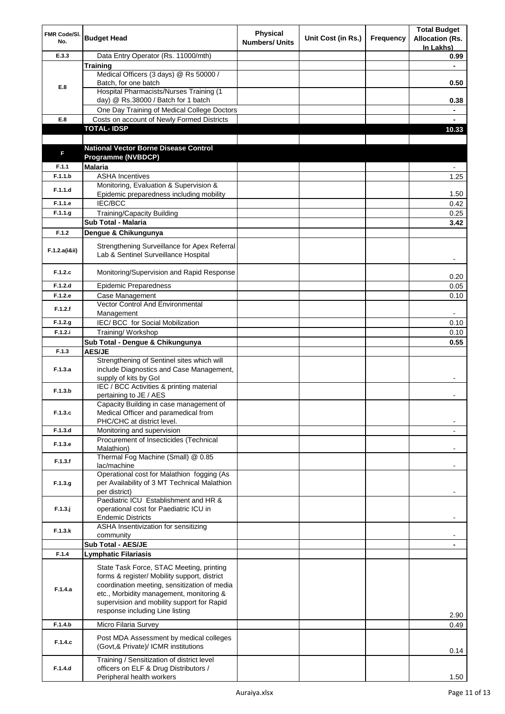| FMR Code/SI.<br>No. | <b>Budget Head</b>                                                                                                                                                                                                                                                    | <b>Physical</b><br><b>Numbers/ Units</b> | Unit Cost (in Rs.) | Frequency | <b>Total Budget</b><br><b>Allocation (Rs.</b><br>In Lakhs) |
|---------------------|-----------------------------------------------------------------------------------------------------------------------------------------------------------------------------------------------------------------------------------------------------------------------|------------------------------------------|--------------------|-----------|------------------------------------------------------------|
| E.3.3               | Data Entry Operator (Rs. 11000/mth)                                                                                                                                                                                                                                   |                                          |                    |           | 0.99                                                       |
|                     | <b>Training</b>                                                                                                                                                                                                                                                       |                                          |                    |           |                                                            |
|                     | Medical Officers (3 days) @ Rs 50000 /                                                                                                                                                                                                                                |                                          |                    |           |                                                            |
| E.8                 | Batch, for one batch                                                                                                                                                                                                                                                  |                                          |                    |           | 0.50                                                       |
|                     | Hospital Pharmacists/Nurses Training (1                                                                                                                                                                                                                               |                                          |                    |           |                                                            |
|                     | day) @ Rs.38000 / Batch for 1 batch                                                                                                                                                                                                                                   |                                          |                    |           | 0.38                                                       |
|                     | One Day Training of Medical College Doctors                                                                                                                                                                                                                           |                                          |                    |           |                                                            |
| E.8                 | Costs on account of Newly Formed Districts<br><b>TOTAL-IDSP</b>                                                                                                                                                                                                       |                                          |                    |           |                                                            |
|                     |                                                                                                                                                                                                                                                                       |                                          |                    |           | 10.33                                                      |
|                     | <b>National Vector Borne Disease Control</b>                                                                                                                                                                                                                          |                                          |                    |           |                                                            |
| F                   | Programme (NVBDCP)                                                                                                                                                                                                                                                    |                                          |                    |           |                                                            |
| F.1.1               | <b>Malaria</b>                                                                                                                                                                                                                                                        |                                          |                    |           |                                                            |
| F.1.1.b             | <b>ASHA Incentives</b>                                                                                                                                                                                                                                                |                                          |                    |           | 1.25                                                       |
|                     | Monitoring, Evaluation & Supervision &                                                                                                                                                                                                                                |                                          |                    |           |                                                            |
| F.1.1.d             | Epidemic preparedness including mobility                                                                                                                                                                                                                              |                                          |                    |           | 1.50                                                       |
| F.1.1.e             | <b>IEC/BCC</b>                                                                                                                                                                                                                                                        |                                          |                    |           | 0.42                                                       |
| F.1.1.g             | Training/Capacity Building                                                                                                                                                                                                                                            |                                          |                    |           | 0.25                                                       |
|                     | Sub Total - Malaria                                                                                                                                                                                                                                                   |                                          |                    |           | 3.42                                                       |
| F.1.2               | Dengue & Chikungunya                                                                                                                                                                                                                                                  |                                          |                    |           |                                                            |
|                     | Strengthening Surveillance for Apex Referral                                                                                                                                                                                                                          |                                          |                    |           |                                                            |
| F.1.2.a(iⅈ)         | Lab & Sentinel Surveillance Hospital                                                                                                                                                                                                                                  |                                          |                    |           |                                                            |
|                     |                                                                                                                                                                                                                                                                       |                                          |                    |           |                                                            |
| F.1.2.c             | Monitoring/Supervision and Rapid Response                                                                                                                                                                                                                             |                                          |                    |           | 0.20                                                       |
| F.1.2.d             | <b>Epidemic Preparedness</b>                                                                                                                                                                                                                                          |                                          |                    |           | 0.05                                                       |
| F.1.2.e             | Case Management                                                                                                                                                                                                                                                       |                                          |                    |           | 0.10                                                       |
| F.1.2.f             | Vector Control And Environmental                                                                                                                                                                                                                                      |                                          |                    |           |                                                            |
|                     | Management                                                                                                                                                                                                                                                            |                                          |                    |           |                                                            |
| F.1.2.g             | IEC/ BCC for Social Mobilization                                                                                                                                                                                                                                      |                                          |                    |           | 0.10                                                       |
| F.1.2.i             | Training/Workshop                                                                                                                                                                                                                                                     |                                          |                    |           | 0.10                                                       |
|                     | Sub Total - Dengue & Chikungunya                                                                                                                                                                                                                                      |                                          |                    |           | 0.55                                                       |
| F.1.3               | <b>AES/JE</b>                                                                                                                                                                                                                                                         |                                          |                    |           |                                                            |
| F.1.3.a             | Strengthening of Sentinel sites which will<br>include Diagnostics and Case Management,<br>supply of kits by Gol                                                                                                                                                       |                                          |                    |           |                                                            |
| F.1.3.b             | IEC / BCC Activities & printing material<br>pertaining to JE / AES                                                                                                                                                                                                    |                                          |                    |           |                                                            |
| F.1.3.c             | Capacity Building in case management of<br>Medical Officer and paramedical from<br>PHC/CHC at district level.                                                                                                                                                         |                                          |                    |           |                                                            |
| F.1.3.d             | Monitoring and supervision                                                                                                                                                                                                                                            |                                          |                    |           |                                                            |
| F.1.3.e             | Procurement of Insecticides (Technical<br>Malathion)                                                                                                                                                                                                                  |                                          |                    |           |                                                            |
|                     | Thermal Fog Machine (Small) @ 0.85                                                                                                                                                                                                                                    |                                          |                    |           |                                                            |
| F.1.3.f             | lac/machine                                                                                                                                                                                                                                                           |                                          |                    |           |                                                            |
| F.1.3.g             | Operational cost for Malathion fogging (As<br>per Availability of 3 MT Technical Malathion<br>per district)                                                                                                                                                           |                                          |                    |           |                                                            |
| $F.1.3.$ j          | Paediatric ICU Establishment and HR &<br>operational cost for Paediatric ICU in                                                                                                                                                                                       |                                          |                    |           |                                                            |
| F.1.3.k             | <b>Endemic Districts</b><br>ASHA Insentivization for sensitizing                                                                                                                                                                                                      |                                          |                    |           |                                                            |
|                     | community<br>Sub Total - AES/JE                                                                                                                                                                                                                                       |                                          |                    |           |                                                            |
| F.1.4               | <b>Lymphatic Filariasis</b>                                                                                                                                                                                                                                           |                                          |                    |           |                                                            |
|                     |                                                                                                                                                                                                                                                                       |                                          |                    |           |                                                            |
| F.1.4.a             | State Task Force, STAC Meeting, printing<br>forms & register/ Mobility support, district<br>coordination meeting, sensitization of media<br>etc., Morbidity management, monitoring &<br>supervision and mobility support for Rapid<br>response including Line listing |                                          |                    |           | 2.90                                                       |
| F.1.4.b             | Micro Filaria Survey                                                                                                                                                                                                                                                  |                                          |                    |           | 0.49                                                       |
| F.1.4.c             | Post MDA Assessment by medical colleges<br>(Govt,& Private)/ ICMR institutions                                                                                                                                                                                        |                                          |                    |           | 0.14                                                       |
| F.1.4.d             | Training / Sensitization of district level<br>officers on ELF & Drug Distributors /<br>Peripheral health workers                                                                                                                                                      |                                          |                    |           | 1.50                                                       |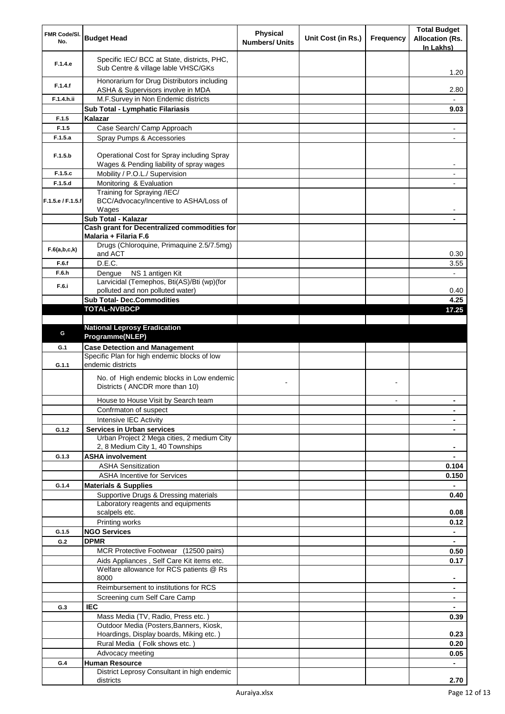| FMR Code/SI.<br>No. | <b>Budget Head</b>                                                                     | <b>Physical</b><br><b>Numbers/ Units</b> | Unit Cost (in Rs.) | <b>Frequency</b> | <b>Total Budget</b><br><b>Allocation (Rs.</b><br>In Lakhs) |
|---------------------|----------------------------------------------------------------------------------------|------------------------------------------|--------------------|------------------|------------------------------------------------------------|
| F.1.4.e             | Specific IEC/ BCC at State, districts, PHC,<br>Sub Centre & village lable VHSC/GKs     |                                          |                    |                  | 1.20                                                       |
| F.1.4.f             | Honorarium for Drug Distributors including<br>ASHA & Supervisors involve in MDA        |                                          |                    |                  | 2.80                                                       |
| F.1.4.h.ii          | M.F.Survey in Non Endemic districts                                                    |                                          |                    |                  |                                                            |
|                     | Sub Total - Lymphatic Filariasis                                                       |                                          |                    |                  | 9.03                                                       |
| F.1.5               | Kalazar                                                                                |                                          |                    |                  |                                                            |
| F.1.5               | Case Search/ Camp Approach                                                             |                                          |                    |                  | $\blacksquare$                                             |
| F.1.5.a             | Spray Pumps & Accessories                                                              |                                          |                    |                  | $\overline{\phantom{a}}$                                   |
| F.1.5.b             | Operational Cost for Spray including Spray<br>Wages & Pending liability of spray wages |                                          |                    |                  | $\blacksquare$                                             |
| F.1.5.c             | Mobility / P.O.L./ Supervision                                                         |                                          |                    |                  | $\overline{\phantom{a}}$                                   |
| F.1.5.d             | Monitoring & Evaluation                                                                |                                          |                    |                  |                                                            |
| F.1.5.e / F.1.5.f   | Training for Spraying /IEC/<br>BCC/Advocacy/Incentive to ASHA/Loss of<br>Wages         |                                          |                    |                  |                                                            |
|                     | Sub Total - Kalazar                                                                    |                                          |                    |                  |                                                            |
|                     | Cash grant for Decentralized commodities for                                           |                                          |                    |                  |                                                            |
|                     | Malaria + Filaria F.6                                                                  |                                          |                    |                  |                                                            |
| F.6(a,b,c,k)        | Drugs (Chloroquine, Primaquine 2.5/7.5mg)<br>and ACT                                   |                                          |                    |                  | 0.30                                                       |
| F.6.f               | D.E.C.                                                                                 |                                          |                    |                  | 3.55                                                       |
| F.6.h               | NS 1 antigen Kit<br>Dengue                                                             |                                          |                    |                  |                                                            |
|                     | Larvicidal (Temephos, Bti(AS)/Bti (wp)(for                                             |                                          |                    |                  |                                                            |
| F.6.i               | polluted and non polluted water)                                                       |                                          |                    |                  | 0.40                                                       |
|                     | <b>Sub Total- Dec.Commodities</b>                                                      |                                          |                    |                  | 4.25                                                       |
|                     | <b>TOTAL-NVBDCP</b>                                                                    |                                          |                    |                  | 17.25                                                      |
|                     |                                                                                        |                                          |                    |                  |                                                            |
| G                   | <b>National Leprosy Eradication</b><br>Programme(NLEP)                                 |                                          |                    |                  |                                                            |
| G.1                 | <b>Case Detection and Management</b>                                                   |                                          |                    |                  |                                                            |
| G.1.1               | Specific Plan for high endemic blocks of low<br>endemic districts                      |                                          |                    |                  |                                                            |
|                     | No. of High endemic blocks in Low endemic<br>Districts (ANCDR more than 10)            |                                          |                    |                  |                                                            |
|                     | House to House Visit by Search team                                                    |                                          |                    | $\blacksquare$   |                                                            |
|                     | Confrmaton of suspect                                                                  |                                          |                    |                  | $\blacksquare$                                             |
|                     | Intensive IEC Activity                                                                 |                                          |                    |                  |                                                            |
| G.1.2               | <b>Services in Urban services</b>                                                      |                                          |                    |                  |                                                            |
|                     | Urban Project 2 Mega cities, 2 medium City                                             |                                          |                    |                  |                                                            |
|                     | 2, 8 Medium City 1, 40 Townships<br><b>ASHA involvement</b>                            |                                          |                    |                  |                                                            |
| G.1.3               | <b>ASHA Sensitization</b>                                                              |                                          |                    |                  | 0.104                                                      |
|                     | <b>ASHA Incentive for Services</b>                                                     |                                          |                    |                  | 0.150                                                      |
| G.1.4               | <b>Materials &amp; Supplies</b>                                                        |                                          |                    |                  |                                                            |
|                     | Supportive Drugs & Dressing materials                                                  |                                          |                    |                  | 0.40                                                       |
|                     | Laboratory reagents and equipments                                                     |                                          |                    |                  |                                                            |
|                     | scalpels etc.                                                                          |                                          |                    |                  | 0.08                                                       |
|                     | Printing works                                                                         |                                          |                    |                  | 0.12                                                       |
| G.1.5               | <b>NGO Services</b>                                                                    |                                          |                    |                  |                                                            |
| G.2                 | <b>DPMR</b>                                                                            |                                          |                    |                  | $\blacksquare$                                             |
|                     | MCR Protective Footwear (12500 pairs)                                                  |                                          |                    |                  | 0.50                                                       |
|                     | Aids Appliances, Self Care Kit items etc.                                              |                                          |                    |                  | 0.17                                                       |
|                     | Welfare allowance for RCS patients @ Rs<br>8000                                        |                                          |                    |                  |                                                            |
|                     | Reimbursement to institutions for RCS                                                  |                                          |                    |                  | ٠                                                          |
|                     | Screening cum Self Care Camp                                                           |                                          |                    |                  |                                                            |
| G.3                 | <b>IEC</b>                                                                             |                                          |                    |                  |                                                            |
|                     | Mass Media (TV, Radio, Press etc.)                                                     |                                          |                    |                  | 0.39                                                       |
|                     | Outdoor Media (Posters, Banners, Kiosk,                                                |                                          |                    |                  |                                                            |
|                     | Hoardings, Display boards, Miking etc.)                                                |                                          |                    |                  | 0.23                                                       |
|                     | Rural Media (Folk shows etc.)                                                          |                                          |                    |                  | 0.20                                                       |
|                     | Advocacy meeting                                                                       |                                          |                    |                  | 0.05                                                       |
| G.4                 | <b>Human Resource</b>                                                                  |                                          |                    |                  | $\blacksquare$                                             |
|                     | District Leprosy Consultant in high endemic<br>districts                               |                                          |                    |                  | 2.70                                                       |